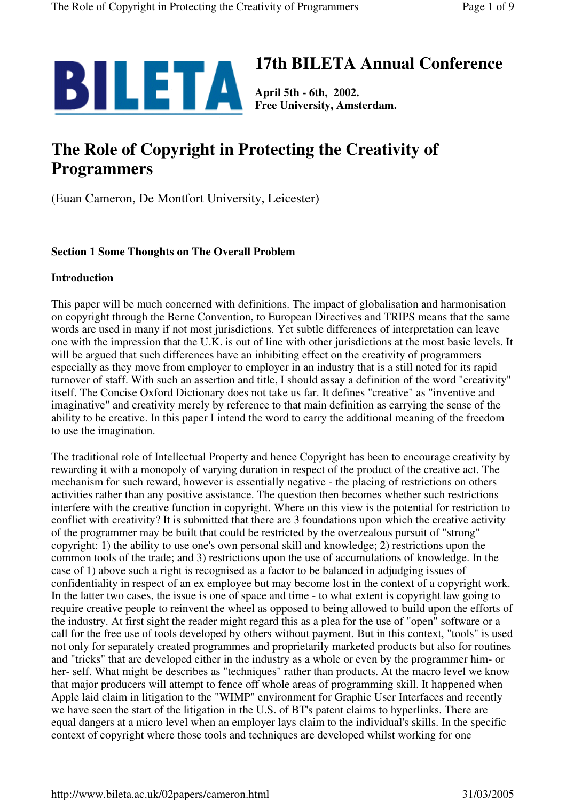

# **17th BILETA Annual Conference**

**Free University, Amsterdam.**

# **The Role of Copyright in Protecting the Creativity of Programmers**

(Euan Cameron, De Montfort University, Leicester)

# **Section 1 Some Thoughts on The Overall Problem**

#### **Introduction**

This paper will be much concerned with definitions. The impact of globalisation and harmonisation on copyright through the Berne Convention, to European Directives and TRIPS means that the same words are used in many if not most jurisdictions. Yet subtle differences of interpretation can leave one with the impression that the U.K. is out of line with other jurisdictions at the most basic levels. It will be argued that such differences have an inhibiting effect on the creativity of programmers especially as they move from employer to employer in an industry that is a still noted for its rapid turnover of staff. With such an assertion and title, I should assay a definition of the word "creativity" itself. The Concise Oxford Dictionary does not take us far. It defines "creative" as "inventive and imaginative" and creativity merely by reference to that main definition as carrying the sense of the ability to be creative. In this paper I intend the word to carry the additional meaning of the freedom to use the imagination.

The traditional role of Intellectual Property and hence Copyright has been to encourage creativity by rewarding it with a monopoly of varying duration in respect of the product of the creative act. The mechanism for such reward, however is essentially negative - the placing of restrictions on others activities rather than any positive assistance. The question then becomes whether such restrictions interfere with the creative function in copyright. Where on this view is the potential for restriction to conflict with creativity? It is submitted that there are 3 foundations upon which the creative activity of the programmer may be built that could be restricted by the overzealous pursuit of "strong" copyright: 1) the ability to use one's own personal skill and knowledge; 2) restrictions upon the common tools of the trade; and 3) restrictions upon the use of accumulations of knowledge. In the case of 1) above such a right is recognised as a factor to be balanced in adjudging issues of confidentiality in respect of an ex employee but may become lost in the context of a copyright work. In the latter two cases, the issue is one of space and time - to what extent is copyright law going to require creative people to reinvent the wheel as opposed to being allowed to build upon the efforts of the industry. At first sight the reader might regard this as a plea for the use of "open" software or a call for the free use of tools developed by others without payment. But in this context, "tools" is used not only for separately created programmes and proprietarily marketed products but also for routines and "tricks" that are developed either in the industry as a whole or even by the programmer him- or her- self. What might be describes as "techniques" rather than products. At the macro level we know that major producers will attempt to fence off whole areas of programming skill. It happened when Apple laid claim in litigation to the "WIMP" environment for Graphic User Interfaces and recently we have seen the start of the litigation in the U.S. of BT's patent claims to hyperlinks. There are equal dangers at a micro level when an employer lays claim to the individual's skills. In the specific context of copyright where those tools and techniques are developed whilst working for one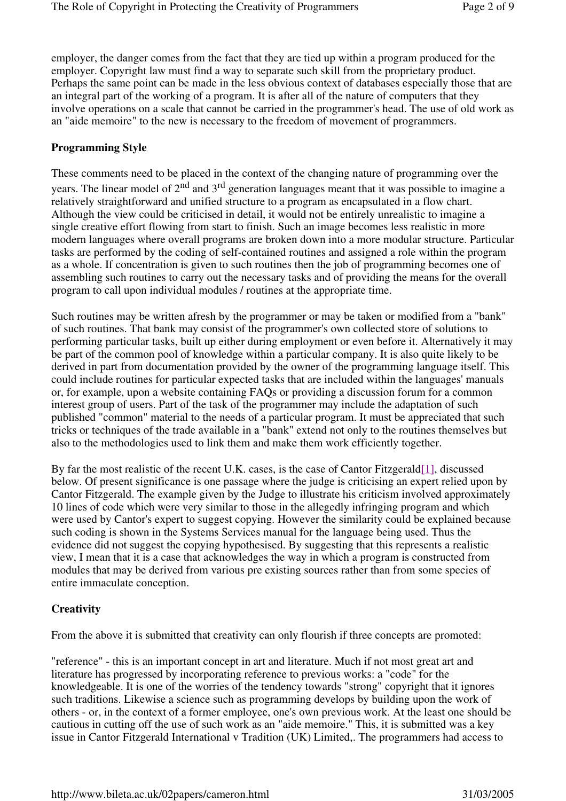employer, the danger comes from the fact that they are tied up within a program produced for the employer. Copyright law must find a way to separate such skill from the proprietary product. Perhaps the same point can be made in the less obvious context of databases especially those that are an integral part of the working of a program. It is after all of the nature of computers that they involve operations on a scale that cannot be carried in the programmer's head. The use of old work as an "aide memoire" to the new is necessary to the freedom of movement of programmers.

# **Programming Style**

These comments need to be placed in the context of the changing nature of programming over the years. The linear model of 2<sup>nd</sup> and 3<sup>rd</sup> generation languages meant that it was possible to imagine a relatively straightforward and unified structure to a program as encapsulated in a flow chart. Although the view could be criticised in detail, it would not be entirely unrealistic to imagine a single creative effort flowing from start to finish. Such an image becomes less realistic in more modern languages where overall programs are broken down into a more modular structure. Particular tasks are performed by the coding of self-contained routines and assigned a role within the program as a whole. If concentration is given to such routines then the job of programming becomes one of assembling such routines to carry out the necessary tasks and of providing the means for the overall program to call upon individual modules / routines at the appropriate time.

Such routines may be written afresh by the programmer or may be taken or modified from a "bank" of such routines. That bank may consist of the programmer's own collected store of solutions to performing particular tasks, built up either during employment or even before it. Alternatively it may be part of the common pool of knowledge within a particular company. It is also quite likely to be derived in part from documentation provided by the owner of the programming language itself. This could include routines for particular expected tasks that are included within the languages' manuals or, for example, upon a website containing FAQs or providing a discussion forum for a common interest group of users. Part of the task of the programmer may include the adaptation of such published "common" material to the needs of a particular program. It must be appreciated that such tricks or techniques of the trade available in a "bank" extend not only to the routines themselves but also to the methodologies used to link them and make them work efficiently together.

By far the most realistic of the recent U.K. cases, is the case of Cantor Fitzgerald[1], discussed below. Of present significance is one passage where the judge is criticising an expert relied upon by Cantor Fitzgerald. The example given by the Judge to illustrate his criticism involved approximately 10 lines of code which were very similar to those in the allegedly infringing program and which were used by Cantor's expert to suggest copying. However the similarity could be explained because such coding is shown in the Systems Services manual for the language being used. Thus the evidence did not suggest the copying hypothesised. By suggesting that this represents a realistic view, I mean that it is a case that acknowledges the way in which a program is constructed from modules that may be derived from various pre existing sources rather than from some species of entire immaculate conception.

# **Creativity**

From the above it is submitted that creativity can only flourish if three concepts are promoted:

"reference" - this is an important concept in art and literature. Much if not most great art and literature has progressed by incorporating reference to previous works: a "code" for the knowledgeable. It is one of the worries of the tendency towards "strong" copyright that it ignores such traditions. Likewise a science such as programming develops by building upon the work of others - or, in the context of a former employee, one's own previous work. At the least one should be cautious in cutting off the use of such work as an "aide memoire." This, it is submitted was a key issue in Cantor Fitzgerald International v Tradition (UK) Limited,. The programmers had access to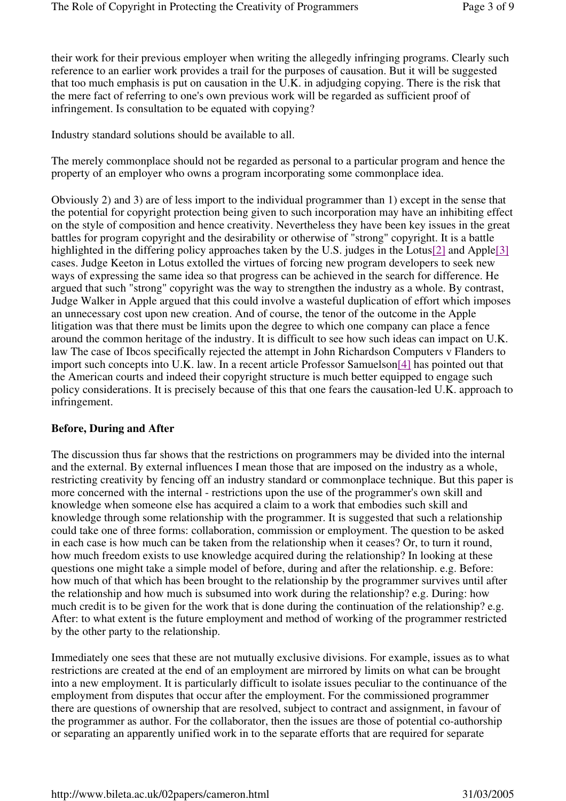their work for their previous employer when writing the allegedly infringing programs. Clearly such reference to an earlier work provides a trail for the purposes of causation. But it will be suggested that too much emphasis is put on causation in the U.K. in adjudging copying. There is the risk that the mere fact of referring to one's own previous work will be regarded as sufficient proof of infringement. Is consultation to be equated with copying?

Industry standard solutions should be available to all.

The merely commonplace should not be regarded as personal to a particular program and hence the property of an employer who owns a program incorporating some commonplace idea.

Obviously 2) and 3) are of less import to the individual programmer than 1) except in the sense that the potential for copyright protection being given to such incorporation may have an inhibiting effect on the style of composition and hence creativity. Nevertheless they have been key issues in the great battles for program copyright and the desirability or otherwise of "strong" copyright. It is a battle highlighted in the differing policy approaches taken by the U.S. judges in the Lotus<sup>[2]</sup> and Apple<sup>[3]</sup> cases. Judge Keeton in Lotus extolled the virtues of forcing new program developers to seek new ways of expressing the same idea so that progress can be achieved in the search for difference. He argued that such "strong" copyright was the way to strengthen the industry as a whole. By contrast, Judge Walker in Apple argued that this could involve a wasteful duplication of effort which imposes an unnecessary cost upon new creation. And of course, the tenor of the outcome in the Apple litigation was that there must be limits upon the degree to which one company can place a fence around the common heritage of the industry. It is difficult to see how such ideas can impact on U.K. law The case of Ibcos specifically rejected the attempt in John Richardson Computers v Flanders to import such concepts into U.K. law. In a recent article Professor Samuelson[4] has pointed out that the American courts and indeed their copyright structure is much better equipped to engage such policy considerations. It is precisely because of this that one fears the causation-led U.K. approach to infringement.

#### **Before, During and After**

The discussion thus far shows that the restrictions on programmers may be divided into the internal and the external. By external influences I mean those that are imposed on the industry as a whole, restricting creativity by fencing off an industry standard or commonplace technique. But this paper is more concerned with the internal - restrictions upon the use of the programmer's own skill and knowledge when someone else has acquired a claim to a work that embodies such skill and knowledge through some relationship with the programmer. It is suggested that such a relationship could take one of three forms: collaboration, commission or employment. The question to be asked in each case is how much can be taken from the relationship when it ceases? Or, to turn it round, how much freedom exists to use knowledge acquired during the relationship? In looking at these questions one might take a simple model of before, during and after the relationship. e.g. Before: how much of that which has been brought to the relationship by the programmer survives until after the relationship and how much is subsumed into work during the relationship? e.g. During: how much credit is to be given for the work that is done during the continuation of the relationship? e.g. After: to what extent is the future employment and method of working of the programmer restricted by the other party to the relationship.

Immediately one sees that these are not mutually exclusive divisions. For example, issues as to what restrictions are created at the end of an employment are mirrored by limits on what can be brought into a new employment. It is particularly difficult to isolate issues peculiar to the continuance of the employment from disputes that occur after the employment. For the commissioned programmer there are questions of ownership that are resolved, subject to contract and assignment, in favour of the programmer as author. For the collaborator, then the issues are those of potential co-authorship or separating an apparently unified work in to the separate efforts that are required for separate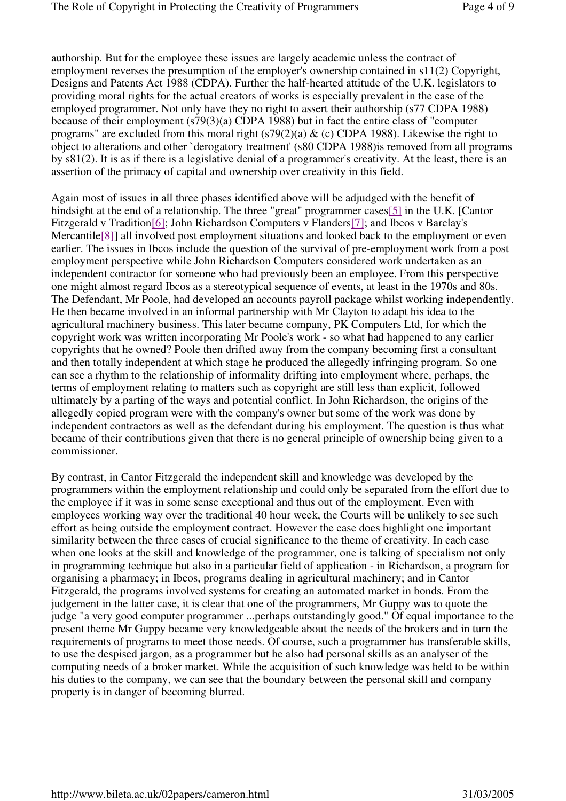authorship. But for the employee these issues are largely academic unless the contract of employment reverses the presumption of the employer's ownership contained in s11(2) Copyright, Designs and Patents Act 1988 (CDPA). Further the half-hearted attitude of the U.K. legislators to providing moral rights for the actual creators of works is especially prevalent in the case of the employed programmer. Not only have they no right to assert their authorship (s77 CDPA 1988) because of their employment (s79(3)(a) CDPA 1988) but in fact the entire class of "computer programs" are excluded from this moral right  $(s79(2)(a) \& c)$  CDPA 1988). Likewise the right to object to alterations and other `derogatory treatment' (s80 CDPA 1988)is removed from all programs by s81(2). It is as if there is a legislative denial of a programmer's creativity. At the least, there is an assertion of the primacy of capital and ownership over creativity in this field.

Again most of issues in all three phases identified above will be adjudged with the benefit of hindsight at the end of a relationship. The three "great" programmer cases[5] in the U.K. [Cantor] Fitzgerald v Tradition[6]; John Richardson Computers v Flanders[7]; and Ibcos v Barclay's Mercantile<sup>[8]</sup>] all involved post employment situations and looked back to the employment or even earlier. The issues in Ibcos include the question of the survival of pre-employment work from a post employment perspective while John Richardson Computers considered work undertaken as an independent contractor for someone who had previously been an employee. From this perspective one might almost regard Ibcos as a stereotypical sequence of events, at least in the 1970s and 80s. The Defendant, Mr Poole, had developed an accounts payroll package whilst working independently. He then became involved in an informal partnership with Mr Clayton to adapt his idea to the agricultural machinery business. This later became company, PK Computers Ltd, for which the copyright work was written incorporating Mr Poole's work - so what had happened to any earlier copyrights that he owned? Poole then drifted away from the company becoming first a consultant and then totally independent at which stage he produced the allegedly infringing program. So one can see a rhythm to the relationship of informality drifting into employment where, perhaps, the terms of employment relating to matters such as copyright are still less than explicit, followed ultimately by a parting of the ways and potential conflict. In John Richardson, the origins of the allegedly copied program were with the company's owner but some of the work was done by independent contractors as well as the defendant during his employment. The question is thus what became of their contributions given that there is no general principle of ownership being given to a commissioner.

By contrast, in Cantor Fitzgerald the independent skill and knowledge was developed by the programmers within the employment relationship and could only be separated from the effort due to the employee if it was in some sense exceptional and thus out of the employment. Even with employees working way over the traditional 40 hour week, the Courts will be unlikely to see such effort as being outside the employment contract. However the case does highlight one important similarity between the three cases of crucial significance to the theme of creativity. In each case when one looks at the skill and knowledge of the programmer, one is talking of specialism not only in programming technique but also in a particular field of application - in Richardson, a program for organising a pharmacy; in Ibcos, programs dealing in agricultural machinery; and in Cantor Fitzgerald, the programs involved systems for creating an automated market in bonds. From the judgement in the latter case, it is clear that one of the programmers, Mr Guppy was to quote the judge "a very good computer programmer ...perhaps outstandingly good." Of equal importance to the present theme Mr Guppy became very knowledgeable about the needs of the brokers and in turn the requirements of programs to meet those needs. Of course, such a programmer has transferable skills, to use the despised jargon, as a programmer but he also had personal skills as an analyser of the computing needs of a broker market. While the acquisition of such knowledge was held to be within his duties to the company, we can see that the boundary between the personal skill and company property is in danger of becoming blurred.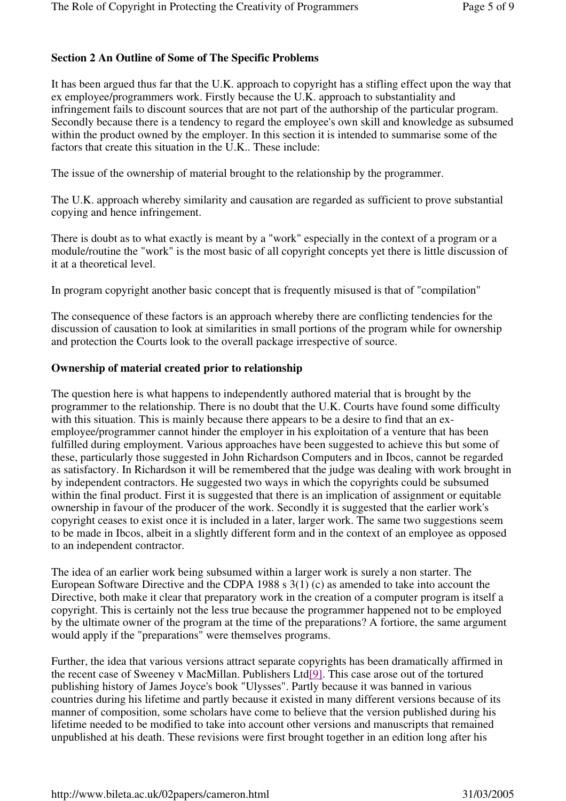# **Section 2 An Outline of Some of The Specific Problems**

It has been argued thus far that the U.K. approach to copyright has a stifling effect upon the way that ex employee/programmers work. Firstly because the U.K. approach to substantiality and infringement fails to discount sources that are not part of the authorship of the particular program. Secondly because there is a tendency to regard the employee's own skill and knowledge as subsumed within the product owned by the employer. In this section it is intended to summarise some of the factors that create this situation in the U.K.. These include:

The issue of the ownership of material brought to the relationship by the programmer.

The U.K. approach whereby similarity and causation are regarded as sufficient to prove substantial copying and hence infringement.

There is doubt as to what exactly is meant by a "work" especially in the context of a program or a module/routine the "work" is the most basic of all copyright concepts yet there is little discussion of it at a theoretical level.

In program copyright another basic concept that is frequently misused is that of "compilation"

The consequence of these factors is an approach whereby there are conflicting tendencies for the discussion of causation to look at similarities in small portions of the program while for ownership and protection the Courts look to the overall package irrespective of source.

#### **Ownership of material created prior to relationship**

The question here is what happens to independently authored material that is brought by the programmer to the relationship. There is no doubt that the U.K. Courts have found some difficulty with this situation. This is mainly because there appears to be a desire to find that an exemployee/programmer cannot hinder the employer in his exploitation of a venture that has been fulfilled during employment. Various approaches have been suggested to achieve this but some of these, particularly those suggested in John Richardson Computers and in Ibcos, cannot be regarded as satisfactory. In Richardson it will be remembered that the judge was dealing with work brought in by independent contractors. He suggested two ways in which the copyrights could be subsumed within the final product. First it is suggested that there is an implication of assignment or equitable ownership in favour of the producer of the work. Secondly it is suggested that the earlier work's copyright ceases to exist once it is included in a later, larger work. The same two suggestions seem to be made in Ibcos, albeit in a slightly different form and in the context of an employee as opposed to an independent contractor.

The idea of an earlier work being subsumed within a larger work is surely a non starter. The European Software Directive and the CDPA 1988 s 3(1) (c) as amended to take into account the Directive, both make it clear that preparatory work in the creation of a computer program is itself a copyright. This is certainly not the less true because the programmer happened not to be employed by the ultimate owner of the program at the time of the preparations? A fortiore, the same argument would apply if the "preparations" were themselves programs.

Further, the idea that various versions attract separate copyrights has been dramatically affirmed in the recent case of Sweeney v MacMillan. Publishers Ltd[9]. This case arose out of the tortured publishing history of James Joyce's book "Ulysses". Partly because it was banned in various countries during his lifetime and partly because it existed in many different versions because of its manner of composition, some scholars have come to believe that the version published during his lifetime needed to be modified to take into account other versions and manuscripts that remained unpublished at his death. These revisions were first brought together in an edition long after his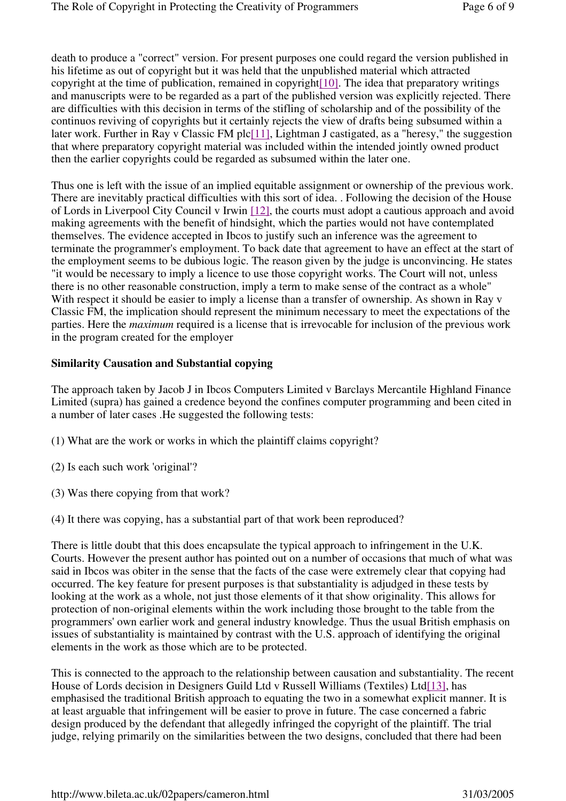death to produce a "correct" version. For present purposes one could regard the version published in his lifetime as out of copyright but it was held that the unpublished material which attracted copyright at the time of publication, remained in copyright  $[10]$ . The idea that preparatory writings and manuscripts were to be regarded as a part of the published version was explicitly rejected. There are difficulties with this decision in terms of the stifling of scholarship and of the possibility of the continuos reviving of copyrights but it certainly rejects the view of drafts being subsumed within a later work. Further in Ray v Classic FM plc[11], Lightman J castigated, as a "heresy," the suggestion that where preparatory copyright material was included within the intended jointly owned product then the earlier copyrights could be regarded as subsumed within the later one.

Thus one is left with the issue of an implied equitable assignment or ownership of the previous work. There are inevitably practical difficulties with this sort of idea. . Following the decision of the House of Lords in Liverpool City Council v Irwin [12], the courts must adopt a cautious approach and avoid making agreements with the benefit of hindsight, which the parties would not have contemplated themselves. The evidence accepted in Ibcos to justify such an inference was the agreement to terminate the programmer's employment. To back date that agreement to have an effect at the start of the employment seems to be dubious logic. The reason given by the judge is unconvincing. He states "it would be necessary to imply a licence to use those copyright works. The Court will not, unless there is no other reasonable construction, imply a term to make sense of the contract as a whole" With respect it should be easier to imply a license than a transfer of ownership. As shown in Ray v Classic FM, the implication should represent the minimum necessary to meet the expectations of the parties. Here the *maximum* required is a license that is irrevocable for inclusion of the previous work in the program created for the employer

#### **Similarity Causation and Substantial copying**

The approach taken by Jacob J in Ibcos Computers Limited v Barclays Mercantile Highland Finance Limited (supra) has gained a credence beyond the confines computer programming and been cited in a number of later cases .He suggested the following tests:

- (1) What are the work or works in which the plaintiff claims copyright?
- (2) Is each such work 'original'?
- (3) Was there copying from that work?
- (4) It there was copying, has a substantial part of that work been reproduced?

There is little doubt that this does encapsulate the typical approach to infringement in the U.K. Courts. However the present author has pointed out on a number of occasions that much of what was said in Ibcos was obiter in the sense that the facts of the case were extremely clear that copying had occurred. The key feature for present purposes is that substantiality is adjudged in these tests by looking at the work as a whole, not just those elements of it that show originality. This allows for protection of non-original elements within the work including those brought to the table from the programmers' own earlier work and general industry knowledge. Thus the usual British emphasis on issues of substantiality is maintained by contrast with the U.S. approach of identifying the original elements in the work as those which are to be protected.

This is connected to the approach to the relationship between causation and substantiality. The recent House of Lords decision in Designers Guild Ltd v Russell Williams (Textiles) Ltd[13], has emphasised the traditional British approach to equating the two in a somewhat explicit manner. It is at least arguable that infringement will be easier to prove in future. The case concerned a fabric design produced by the defendant that allegedly infringed the copyright of the plaintiff. The trial judge, relying primarily on the similarities between the two designs, concluded that there had been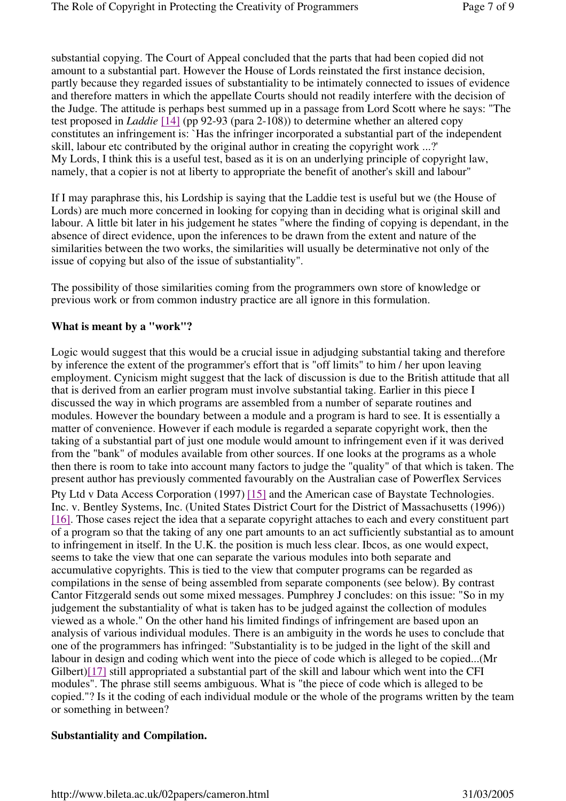substantial copying. The Court of Appeal concluded that the parts that had been copied did not amount to a substantial part. However the House of Lords reinstated the first instance decision, partly because they regarded issues of substantiality to be intimately connected to issues of evidence and therefore matters in which the appellate Courts should not readily interfere with the decision of the Judge. The attitude is perhaps best summed up in a passage from Lord Scott where he says: "The test proposed in *Laddie* [14] (pp 92-93 (para 2-108)) to determine whether an altered copy constitutes an infringement is: `Has the infringer incorporated a substantial part of the independent skill, labour etc contributed by the original author in creating the copyright work ...?' My Lords, I think this is a useful test, based as it is on an underlying principle of copyright law, namely, that a copier is not at liberty to appropriate the benefit of another's skill and labour"

If I may paraphrase this, his Lordship is saying that the Laddie test is useful but we (the House of Lords) are much more concerned in looking for copying than in deciding what is original skill and labour. A little bit later in his judgement he states "where the finding of copying is dependant, in the absence of direct evidence, upon the inferences to be drawn from the extent and nature of the similarities between the two works, the similarities will usually be determinative not only of the issue of copying but also of the issue of substantiality".

The possibility of those similarities coming from the programmers own store of knowledge or previous work or from common industry practice are all ignore in this formulation.

# **What is meant by a "work"?**

Logic would suggest that this would be a crucial issue in adjudging substantial taking and therefore by inference the extent of the programmer's effort that is "off limits" to him / her upon leaving employment. Cynicism might suggest that the lack of discussion is due to the British attitude that all that is derived from an earlier program must involve substantial taking. Earlier in this piece I discussed the way in which programs are assembled from a number of separate routines and modules. However the boundary between a module and a program is hard to see. It is essentially a matter of convenience. However if each module is regarded a separate copyright work, then the taking of a substantial part of just one module would amount to infringement even if it was derived from the "bank" of modules available from other sources. If one looks at the programs as a whole then there is room to take into account many factors to judge the "quality" of that which is taken. The present author has previously commented favourably on the Australian case of Powerflex Services Pty Ltd v Data Access Corporation (1997) [15] and the American case of Baystate Technologies. Inc. v. Bentley Systems, Inc. (United States District Court for the District of Massachusetts (1996)) [16]. Those cases reject the idea that a separate copyright attaches to each and every constituent part of a program so that the taking of any one part amounts to an act sufficiently substantial as to amount to infringement in itself. In the U.K. the position is much less clear. Ibcos, as one would expect, seems to take the view that one can separate the various modules into both separate and accumulative copyrights. This is tied to the view that computer programs can be regarded as compilations in the sense of being assembled from separate components (see below). By contrast Cantor Fitzgerald sends out some mixed messages. Pumphrey J concludes: on this issue: "So in my judgement the substantiality of what is taken has to be judged against the collection of modules viewed as a whole." On the other hand his limited findings of infringement are based upon an analysis of various individual modules. There is an ambiguity in the words he uses to conclude that one of the programmers has infringed: "Substantiality is to be judged in the light of the skill and labour in design and coding which went into the piece of code which is alleged to be copied...(Mr Gilbert)[17] still appropriated a substantial part of the skill and labour which went into the CFI modules". The phrase still seems ambiguous. What is "the piece of code which is alleged to be copied."? Is it the coding of each individual module or the whole of the programs written by the team or something in between?

#### **Substantiality and Compilation.**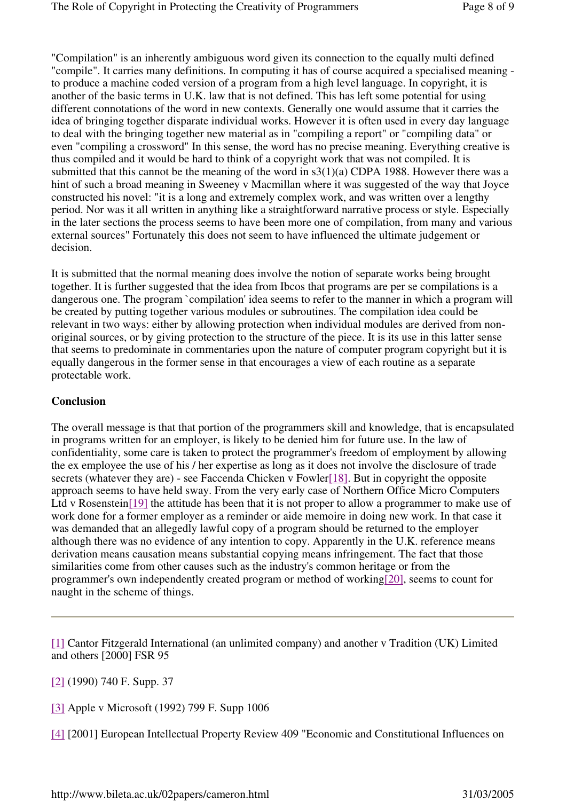"Compilation" is an inherently ambiguous word given its connection to the equally multi defined "compile". It carries many definitions. In computing it has of course acquired a specialised meaning to produce a machine coded version of a program from a high level language. In copyright, it is another of the basic terms in U.K. law that is not defined. This has left some potential for using different connotations of the word in new contexts. Generally one would assume that it carries the idea of bringing together disparate individual works. However it is often used in every day language to deal with the bringing together new material as in "compiling a report" or "compiling data" or even "compiling a crossword" In this sense, the word has no precise meaning. Everything creative is thus compiled and it would be hard to think of a copyright work that was not compiled. It is submitted that this cannot be the meaning of the word in s3(1)(a) CDPA 1988. However there was a hint of such a broad meaning in Sweeney v Macmillan where it was suggested of the way that Joyce constructed his novel: "it is a long and extremely complex work, and was written over a lengthy period. Nor was it all written in anything like a straightforward narrative process or style. Especially in the later sections the process seems to have been more one of compilation, from many and various external sources" Fortunately this does not seem to have influenced the ultimate judgement or decision.

It is submitted that the normal meaning does involve the notion of separate works being brought together. It is further suggested that the idea from Ibcos that programs are per se compilations is a dangerous one. The program `compilation' idea seems to refer to the manner in which a program will be created by putting together various modules or subroutines. The compilation idea could be relevant in two ways: either by allowing protection when individual modules are derived from nonoriginal sources, or by giving protection to the structure of the piece. It is its use in this latter sense that seems to predominate in commentaries upon the nature of computer program copyright but it is equally dangerous in the former sense in that encourages a view of each routine as a separate protectable work.

#### **Conclusion**

The overall message is that that portion of the programmers skill and knowledge, that is encapsulated in programs written for an employer, is likely to be denied him for future use. In the law of confidentiality, some care is taken to protect the programmer's freedom of employment by allowing the ex employee the use of his / her expertise as long as it does not involve the disclosure of trade secrets (whatever they are) - see Faccenda Chicken v Fowler[18]. But in copyright the opposite approach seems to have held sway. From the very early case of Northern Office Micro Computers Ltd v Rosenstein[19] the attitude has been that it is not proper to allow a programmer to make use of work done for a former employer as a reminder or aide memoire in doing new work. In that case it was demanded that an allegedly lawful copy of a program should be returned to the employer although there was no evidence of any intention to copy. Apparently in the U.K. reference means derivation means causation means substantial copying means infringement. The fact that those similarities come from other causes such as the industry's common heritage or from the programmer's own independently created program or method of working[20], seems to count for naught in the scheme of things.

[1] Cantor Fitzgerald International (an unlimited company) and another v Tradition (UK) Limited and others [2000] FSR 95

[2] (1990) 740 F. Supp. 37

[3] Apple v Microsoft (1992) 799 F. Supp 1006

[4] [2001] European Intellectual Property Review 409 "Economic and Constitutional Influences on